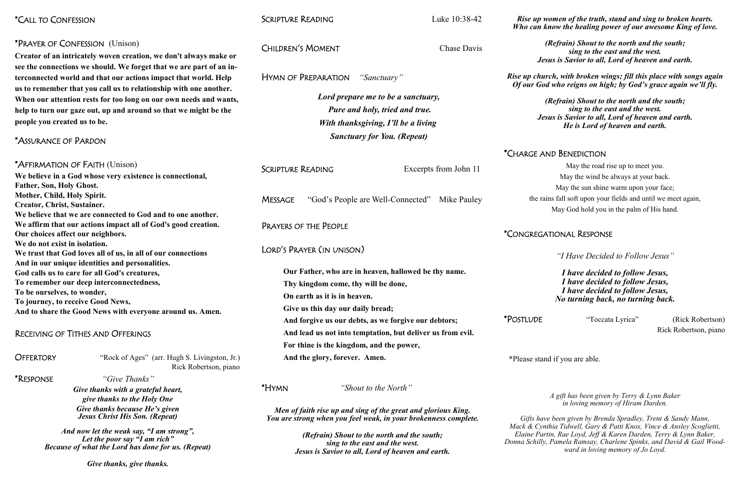| <i>*CALL TO CONFESSION</i>                                                                                                                   |                                                                                                                                        | <b>SCRIPTURE READING</b>                                                                                                         |                                    | Luke 10:38-42                                              | Rise up<br>Who can       |
|----------------------------------------------------------------------------------------------------------------------------------------------|----------------------------------------------------------------------------------------------------------------------------------------|----------------------------------------------------------------------------------------------------------------------------------|------------------------------------|------------------------------------------------------------|--------------------------|
| *PRAYER OF CONFESSION (Unison)<br>Creator of an intricately woven creation, we don't always make or                                          |                                                                                                                                        | <b>CHILDREN'S MOMENT</b>                                                                                                         |                                    | Chase Davis                                                |                          |
|                                                                                                                                              |                                                                                                                                        |                                                                                                                                  |                                    |                                                            | $J_{\rm d}$              |
| see the connections we should. We forget that we are part of an in-<br>terconnected world and that our actions impact that world. Help       |                                                                                                                                        | HYMN OF PREPARATION                                                                                                              |                                    | "Sanctuary"                                                | Rise up chi<br>Of our Go |
|                                                                                                                                              | us to remember that you call us to relationship with one another.<br>When our attention rests for too long on our own needs and wants, |                                                                                                                                  | Lord prepare me to be a sanctuary, |                                                            |                          |
|                                                                                                                                              | help to turn our gaze out, up and around so that we might be the                                                                       | <b>Pure and holy, tried and true.</b>                                                                                            |                                    |                                                            |                          |
|                                                                                                                                              |                                                                                                                                        |                                                                                                                                  |                                    |                                                            | $J_{\rm d}$              |
| people you created us to be.                                                                                                                 |                                                                                                                                        | With thanksgiving, I'll be a living                                                                                              |                                    |                                                            |                          |
| *ASSURANCE OF PARDON                                                                                                                         |                                                                                                                                        |                                                                                                                                  |                                    | <b>Sanctuary for You. (Repeat)</b>                         |                          |
|                                                                                                                                              |                                                                                                                                        |                                                                                                                                  |                                    |                                                            | *CHARGE A                |
| *AFFIRMATION OF FAITH (Unison)                                                                                                               |                                                                                                                                        | <b>SCRIPTURE READING</b>                                                                                                         |                                    | Excerpts from John 11                                      |                          |
|                                                                                                                                              | We believe in a God whose very existence is connectional,                                                                              |                                                                                                                                  |                                    |                                                            |                          |
| <b>Father, Son, Holy Ghost.</b>                                                                                                              |                                                                                                                                        |                                                                                                                                  |                                    |                                                            |                          |
| Mother, Child, Holy Spirit.<br><b>Creator, Christ, Sustainer.</b>                                                                            |                                                                                                                                        | <b>MESSAGE</b>                                                                                                                   |                                    | "God's People are Well-Connected"<br>Mike Pauley           | the r                    |
|                                                                                                                                              | We believe that we are connected to God and to one another.                                                                            |                                                                                                                                  |                                    |                                                            |                          |
|                                                                                                                                              | We affirm that our actions impact all of God's good creation.                                                                          | PRAYERS OF THE PEOPLE                                                                                                            |                                    |                                                            |                          |
| Our choices affect our neighbors.                                                                                                            |                                                                                                                                        |                                                                                                                                  |                                    |                                                            | *CONGREG                 |
| We do not exist in isolation.                                                                                                                |                                                                                                                                        | LORD'S PRAYER (IN UNISON)                                                                                                        |                                    |                                                            |                          |
| We trust that God loves all of us, in all of our connections                                                                                 |                                                                                                                                        |                                                                                                                                  |                                    |                                                            |                          |
| And in our unique identities and personalities.                                                                                              |                                                                                                                                        |                                                                                                                                  |                                    |                                                            |                          |
| God calls us to care for all God's creatures,                                                                                                |                                                                                                                                        |                                                                                                                                  |                                    | Our Father, who are in heaven, hallowed be thy name.       |                          |
| To remember our deep interconnectedness,                                                                                                     |                                                                                                                                        |                                                                                                                                  |                                    | Thy kingdom come, thy will be done,                        |                          |
| To be ourselves, to wonder,<br>To journey, to receive Good News,                                                                             |                                                                                                                                        | On earth as it is in heaven.                                                                                                     |                                    |                                                            |                          |
| And to share the Good News with everyone around us. Amen.                                                                                    |                                                                                                                                        | Give us this day our daily bread;                                                                                                |                                    |                                                            |                          |
|                                                                                                                                              |                                                                                                                                        |                                                                                                                                  |                                    | And forgive us our debts, as we forgive our debtors;       | *POSTLUDE                |
| RECEIVING OF TITHES AND OFFERINGS                                                                                                            |                                                                                                                                        |                                                                                                                                  |                                    | And lead us not into temptation, but deliver us from evil. |                          |
|                                                                                                                                              |                                                                                                                                        |                                                                                                                                  |                                    | For thine is the kingdom, and the power,                   |                          |
| <b>OFFERTORY</b>                                                                                                                             | "Rock of Ages" (arr. Hugh S. Livingston, Jr.)                                                                                          | And the glory, forever. Amen.                                                                                                    |                                    |                                                            | *Please sta              |
|                                                                                                                                              | Rick Robertson, piano                                                                                                                  |                                                                                                                                  |                                    |                                                            |                          |
| <i>*</i> RESPONSE                                                                                                                            | "Give Thanks"                                                                                                                          |                                                                                                                                  |                                    |                                                            |                          |
| Give thanks with a grateful heart,<br>give thanks to the Holy One<br>Give thanks because He's given<br><b>Jesus Christ His Son. (Repeat)</b> |                                                                                                                                        | <i>*</i> Hymn                                                                                                                    |                                    | "Shout to the North"                                       |                          |
|                                                                                                                                              |                                                                                                                                        |                                                                                                                                  |                                    |                                                            |                          |
|                                                                                                                                              |                                                                                                                                        | Men of faith rise up and sing of the great and glorious King.<br>You are strong when you feel weak, in your brokenness complete. |                                    |                                                            | Gifts ha                 |
| And now let the weak say, "I am strong",                                                                                                     |                                                                                                                                        |                                                                                                                                  |                                    | Mack & Cy<br>Elaine Pa                                     |                          |
|                                                                                                                                              | (Refrain) Shout to the north and the south;<br>sing to the east and the west.                                                          |                                                                                                                                  |                                    | Donna Schill                                               |                          |
|                                                                                                                                              | <b>Because of what the Lord has done for us. (Repeat)</b>                                                                              |                                                                                                                                  |                                    | Jesus is Savior to all, Lord of heaven and earth.          |                          |
| Give thanks, give thanks.                                                                                                                    |                                                                                                                                        |                                                                                                                                  |                                    |                                                            |                          |

*Rise women of the truth, stand and sing to broken hearts. know the healing power of our awesome King of love.* 

> "Toccata Lyrica" (Rick Robertson) Rick Robertson, piano

and if you are able.

*(Refrain) Shout to the north and the south; sing to the east and the west. Jesus is Savior to all, Lord of heaven and earth.* 

*Rise up church, with broken wings; fill this place with songs again Of our God who reigns on high; by God's grace again we'll fly.*

*(Refrain) Shout to the north and the south; sing to the east and the west.* esus is Savior to all, Lord of heaven and earth. *He is Lord of heaven and earth.*

# **AND BENEDICTION**

May the road rise up to meet you. May the wind be always at your back. May the sun shine warm upon your face; ains fall soft upon your fields and until we meet again, May God hold you in the palm of His hand.

# **ATIONAL RESPONSE**

*"I Have Decided to Follow Jesus"*

*I have decided to follow Jesus, I have decided to follow Jesus, I have decided to follow Jesus, No turning back, no turning back.*

*A gift has been given by Terry & Lynn Baker in loving memory of Hiram Darden.*

*Gifts have been given by Brenda Spradley, Trent & Sandy Mann, Mack & Cynthia Tidwell, Gary & Patti Knox, Vince & Ansley Scoglietti, Elaine Partin, Rae Loyd, Jeff & Karen Darden, Terry & Lynn Baker,*  ly, Pamela Ramsay, Charlene Spinks, and David & Gail Wood*ward in loving memory of Jo Loyd.*